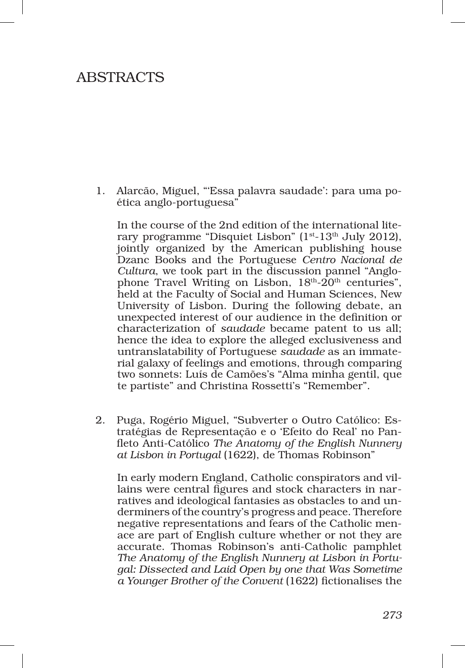## **ABSTRACTS**

1. Alarcão, Miguel, "'Essa palavra saudade': para uma poética anglo‑portuguesa"

In the course of the 2nd edition of the international lite– rary programme "Disquiet Lisbon" ( $1<sup>st</sup>$ -13<sup>th</sup> July 2012), jointly organized by the American publishing house Dzanc Books and the Portuguese *Centro Nacional de Cultura*, we took part in the discussion pannel "Anglophone Travel Writing on Lisbon,  $18<sup>th</sup>$ -20<sup>th</sup> centuries", held at the Faculty of Social and Human Sciences, New University of Lisbon. During the following debate, an unexpected interest of our audience in the definition or characterization of *saudade* became patent to us all; hence the idea to explore the alleged exclusiveness and untranslatability of Portuguese *saudade* as an immate‑ rial galaxy of feelings and emotions, through comparing two sonnets: Luís de Camões's "Alma minha gentil, que te partiste" and Christina Rossetti's "Remember".

2. Puga, Rogério Miguel, "Subverter o Outro Católico: Es‑ tratégias de Representação e o 'Efeito do Real' no Pan‑ fleto Anti‑Católico *The Anatomy of the English Nunnery at Lisbon in Portugal* (1622), de Thomas Robinson"

In early modern England, Catholic conspirators and villains were central figures and stock characters in narratives and ideological fantasies as obstacles to and underminers of the country's progress and peace. Therefore negative representations and fears of the Catholic menace are part of English culture whether or not they are accurate. Thomas Robinson's anti‑Catholic pamphlet *The Anatomy of the English Nunnery at Lisbon in Portu‑ gal: Dissected and Laid Open by one that Was Sometime a Younger Brother of the Convent* (1622) fictionalises the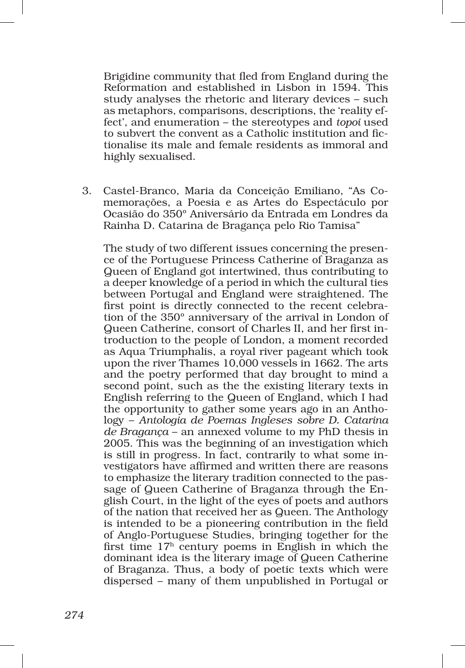Brigidine community that fled from England during the Reformation and established in Lisbon in 1594. This study analyses the rhetoric and literary devices – such as metaphors, comparisons, descriptions, the 'reality effect', and enumeration – the stereotypes and *topoi* used to subvert the convent as a Catholic institution and fictionalise its male and female residents as immoral and highly sexualised.

3. Castel‑Branco, Maria da Conceição Emiliano, "As Co‑ memorações, a Poesia e as Artes do Espectáculo por Ocasião do 350º Aniversário da Entrada em Londres da Rainha D. Catarina de Bragança pelo Rio Tamisa"

The study of two different issues concerning the presence of the Portuguese Princess Catherine of Braganza as Queen of England got intertwined, thus contributing to a deeper knowledge of a period in which the cultural ties between Portugal and England were straightened. The first point is directly connected to the recent celebration of the 350º anniversary of the arrival in London of Queen Catherine, consort of Charles II, and her first introduction to the people of London, a moment recorded as Aqua Triumphalis, a royal river pageant which took upon the river Thames 10,000 vessels in 1662. The arts and the poetry performed that day brought to mind a second point, such as the the existing literary texts in English referring to the Queen of England, which I had the opportunity to gather some years ago in an Anthology – *Antologia de Poemas Ingleses sobre D. Catarina de Bragança* – an annexed volume to my PhD thesis in 2005. This was the beginning of an investigation which is still in progress. In fact, contrarily to what some in‑ vestigators have affirmed and written there are reasons to emphasize the literary tradition connected to the passage of Queen Catherine of Braganza through the English Court, in the light of the eyes of poets and authors of the nation that received her as Queen. The Anthology is intended to be a pioneering contribution in the field of Anglo‑Portuguese Studies, bringing together for the first time  $17<sup>h</sup>$  century poems in English in which the dominant idea is the literary image of Queen Catherine of Braganza. Thus, a body of poetic texts which were dispersed – many of them unpublished in Portugal or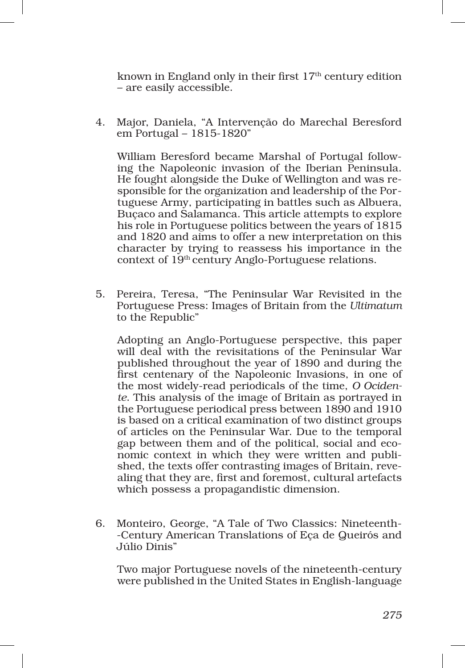known in England only in their first  $17<sup>th</sup>$  century edition – are easily accessible.

4. Major, Daniela, "A Intervenção do Marechal Beresford em Portugal – 1815‑1820"

William Beresford became Marshal of Portugal following the Napoleonic invasion of the Iberian Peninsula. He fought alongside the Duke of Wellington and was responsible for the organization and leadership of the Portuguese Army, participating in battles such as Albuera, Buçaco and Salamanca. This article attempts to explore his role in Portuguese politics between the years of 1815 and 1820 and aims to offer a new interpretation on this character by trying to reassess his importance in the context of 19th century Anglo‑Portuguese relations.

5. Pereira, Teresa, "The Peninsular War Revisited in the Portuguese Press: Images of Britain from the *Ultimatum*  to the Republic"

Adopting an Anglo‑Portuguese perspective, this paper will deal with the revisitations of the Peninsular War published throughout the year of 1890 and during the first centenary of the Napoleonic Invasions, in one of the most widely‑read periodicals of the time, *O Ociden‑ te*. This analysis of the image of Britain as portrayed in the Portuguese periodical press between 1890 and 1910 is based on a critical examination of two distinct groups of articles on the Peninsular War. Due to the temporal gap between them and of the political, social and economic context in which they were written and published, the texts offer contrasting images of Britain, revealing that they are, first and foremost, cultural artefacts which possess a propagandistic dimension.

6. Monteiro, George, "A Tale of Two Classics: Nineteenth‑ ‑Century American Translations of Eça de Queirós and Júlio Dinis"

Two major Portuguese novels of the nineteenth‑century were published in the United States in English-language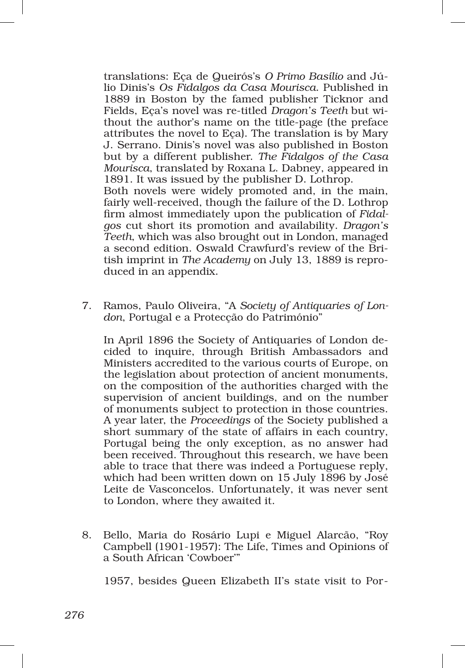translations: Eça de Queirós's *O Primo Basílio* and Jú‑ lio Dinis's *Os Fidalgos da Casa Mourisca*. Published in 1889 in Boston by the famed publisher Ticknor and Fields, Eça's novel was re‑titled *Dragon's Teeth* but wi‑ thout the author's name on the title‑page (the preface attributes the novel to Eça). The translation is by Mary J. Serrano. Dinis's novel was also published in Boston but by a different publisher. *The Fidalgos of the Casa Mourisca*, translated by Roxana L. Dabney, appeared in 1891. It was issued by the publisher D. Lothrop. Both novels were widely promoted and, in the main,

fairly well-received, though the failure of the D. Lothrop firm almost immediately upon the publication of *Fidal‑ gos* cut short its promotion and availability. *Dragon's Teeth*, which was also brought out in London, managed a second edition. Oswald Crawfurd's review of the Bri‑ tish imprint in *The Academy* on July 13, 1889 is reproduced in an appendix.

7. Ramos, Paulo Oliveira, "A *Society of Antiquaries of Lon‑ don*, Portugal e a Protecção do Património"

In April 1896 the Society of Antiquaries of London de‑ cided to inquire, through British Ambassadors and Ministers accredited to the various courts of Europe, on the legislation about protection of ancient monuments, on the composition of the authorities charged with the supervision of ancient buildings, and on the number of monuments subject to protection in those countries. A year later, the *Proceedings* of the Society published a short summary of the state of affairs in each country, Portugal being the only exception, as no answer had been received. Throughout this research, we have been able to trace that there was indeed a Portuguese reply, which had been written down on 15 July 1896 by José Leite de Vasconcelos. Unfortunately, it was never sent to London, where they awaited it.

8. Bello, Maria do Rosário Lupi e Miguel Alarcão, "Roy Campbell (1901‑1957): The Life, Times and Opinions of a South African 'Cowboer'"

1957, besides Queen Elizabeth II's state visit to Por‑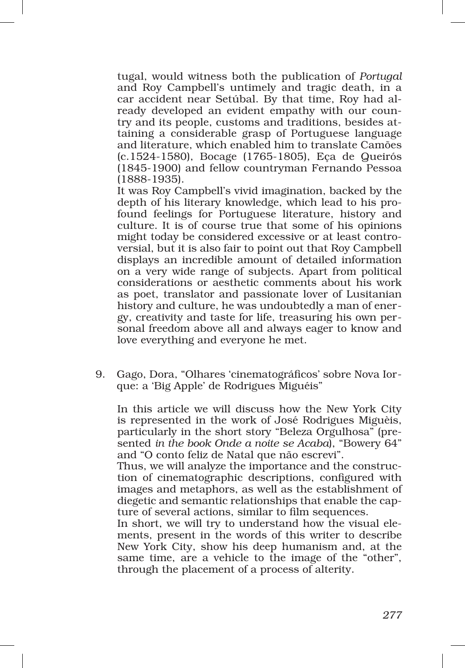tugal, would witness both the publication of *Portugal*  and Roy Campbell's untimely and tragic death, in a car accident near Setúbal. By that time, Roy had al‑ ready developed an evident empathy with our country and its people, customs and traditions, besides at‑ taining a considerable grasp of Portuguese language and literature, which enabled him to translate Camões (c.1524‑1580), Bocage (1765‑1805), Eça de Queirós (1845‑1900) and fellow countryman Fernando Pessoa (1888‑1935).

It was Roy Campbell's vivid imagination, backed by the depth of his literary knowledge, which lead to his profound feelings for Portuguese literature, history and culture. It is of course true that some of his opinions might today be considered excessive or at least controversial, but it is also fair to point out that Roy Campbell displays an incredible amount of detailed information on a very wide range of subjects. Apart from political considerations or aesthetic comments about his work as poet, translator and passionate lover of Lusitanian history and culture, he was undoubtedly a man of energy, creativity and taste for life, treasuring his own per‑ sonal freedom above all and always eager to know and love everything and everyone he met.

9. Gago, Dora, "Olhares 'cinematográficos' sobre Nova Iorque: a 'Big Apple' de Rodrigues Miguéis"

In this article we will discuss how the New York City is represented in the work of José Rodrigues Miguèis, particularly in the short story "Beleza Orgulhosa" (pre‑ sented *in the book Onde a noite se Acaba*), "Bowery 64" and "O conto feliz de Natal que não escrevi".

Thus, we will analyze the importance and the construction of cinematographic descriptions, configured with images and metaphors, as well as the establishment of diegetic and semantic relationships that enable the capture of several actions, similar to film sequences.

In short, we will try to understand how the visual elements, present in the words of this writer to describe New York City, show his deep humanism and, at the same time, are a vehicle to the image of the "other", through the placement of a process of alterity.